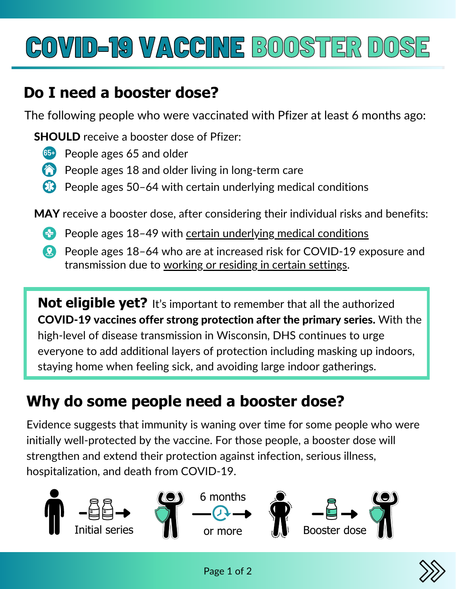# COVID-19 VACCINE BOOSTER DOSE COVID-19VACCINE

#### **Do I need a booster dose?**

The following people who were vaccinated with Pfizer at least 6 months ago:

SHOULD receive a booster dose of Pfizer:

- **65+** People ages 65 and older
- People ages 18 and older living in long-term care
- People ages 50–64 with certain underlying medical conditions

MAY receive a booster dose, after considering their individual risks and benefits:

- **People ages 18-49 with certain [underlying](https://www.cdc.gov/coronavirus/2019-ncov/need-extra-precautions/people-with-medical-conditions.html) medical conditions**
- People ages 18–64 who are at increased risk for COVID-19 exposure and transmission due to [working](https://www.cdc.gov/coronavirus/2019-ncov/vaccines/booster-shot.html) or residing in certain settings.

**Not eligible yet?** It's important to remember that all the authorized COVID-19 vaccines offer strong protection after the primary series. With the high-level of disease transmission in Wisconsin, DHS continues to urge everyone to add additional layers of protection including masking up indoors, staying home when feeling sick, and avoiding large indoor gatherings.

### **Why do some people need a booster dose?**

Evidence suggests that immunity is waning over time for some people who were initially well-protected by the vaccine. For those people, a booster dose will strengthen and extend their protection against infection, serious illness, hospitalization, and death from COVID-19.